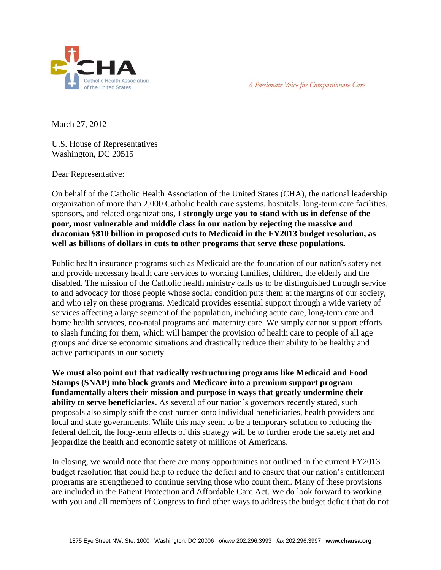



March 27, 2012

U.S. House of Representatives Washington, DC 20515

Dear Representative:

On behalf of the Catholic Health Association of the United States (CHA), the national leadership organization of more than 2,000 Catholic health care systems, hospitals, long-term care facilities, sponsors, and related organizations, **I strongly urge you to stand with us in defense of the poor, most vulnerable and middle class in our nation by rejecting the massive and draconian \$810 billion in proposed cuts to Medicaid in the FY2013 budget resolution, as well as billions of dollars in cuts to other programs that serve these populations.**

Public health insurance programs such as Medicaid are the foundation of our nation's safety net and provide necessary health care services to working families, children, the elderly and the disabled. The mission of the Catholic health ministry calls us to be distinguished through service to and advocacy for those people whose social condition puts them at the margins of our society, and who rely on these programs. Medicaid provides essential support through a wide variety of services affecting a large segment of the population, including acute care, long-term care and home health services, neo-natal programs and maternity care. We simply cannot support efforts to slash funding for them, which will hamper the provision of health care to people of all age groups and diverse economic situations and drastically reduce their ability to be healthy and active participants in our society.

**We must also point out that radically restructuring programs like Medicaid and Food Stamps (SNAP) into block grants and Medicare into a premium support program fundamentally alters their mission and purpose in ways that greatly undermine their ability to serve beneficiaries.** As several of our nation's governors recently stated, such proposals also simply shift the cost burden onto individual beneficiaries, health providers and local and state governments. While this may seem to be a temporary solution to reducing the federal deficit, the long-term effects of this strategy will be to further erode the safety net and jeopardize the health and economic safety of millions of Americans.

In closing, we would note that there are many opportunities not outlined in the current FY2013 budget resolution that could help to reduce the deficit and to ensure that our nation's entitlement programs are strengthened to continue serving those who count them. Many of these provisions are included in the Patient Protection and Affordable Care Act. We do look forward to working with you and all members of Congress to find other ways to address the budget deficit that do not